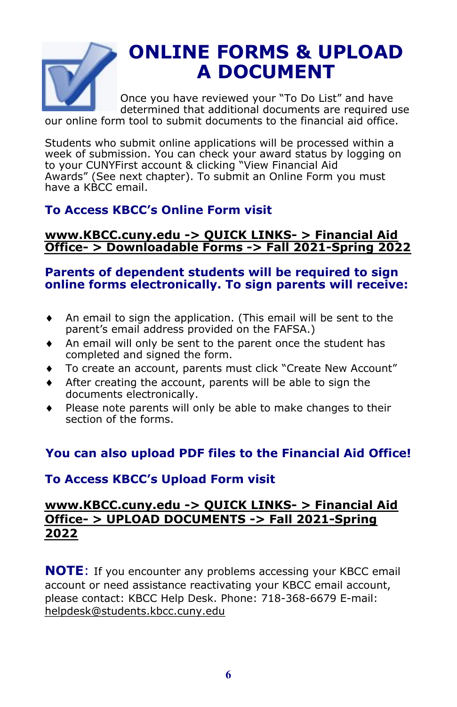

# **ONLINE FORMS & UPLOAD A DOCUMENT**

Once you have reviewed your "To Do List" and have determined that additional documents are required use

our online form tool to submit documents to the financial aid office.

Students who submit online applications will be processed within a week of submission. You can check your award status by logging on to your CUNYFirst account & clicking "View Financial Aid Awards" (See next chapter). To submit an Online Form you must have a KBCC email.

# **To Access KBCC's Online Form visit**

## **www.KBCC.cuny.edu -> QUICK LINKS- > Financial Aid Office- [> Downloadable Forms](http://kbcc.cuny.edu/financialaid/downloadableforms2021-2022.html) -> Fall 2021-Spring 2022**

# **Parents of dependent students will be required to sign online forms electronically. To sign parents will receive:**

- An email to sign the application. (This email will be sent to the parent's email address provided on the FAFSA.)
- An email will only be sent to the parent once the student has completed and signed the form.
- To create an account, parents must click "Create New Account"
- After creating the account, parents will be able to sign the documents electronically.
- Please note parents will only be able to make changes to their section of the forms.

# **You can also upload PDF files to the Financial Aid Office!**

# **To Access KBCC's Upload Form visit**

# **[www.KBCC.cuny.edu](http://bit.ly/FAUPLOAD21) -> QUICK LINKS- > Financial Aid Office- > UPLOAD DOCUMENTS -> Fall 2021-Spring 2022**

**NOTE**: If you encounter any problems accessing your KBCC email account or need assistance reactivating your KBCC email account, please contact: KBCC Help Desk. Phone: 718-368-6679 E-mail: [helpdesk@students.kbcc.cuny.edu](mailto:helpdesk@students.kbcc.cuny.edu)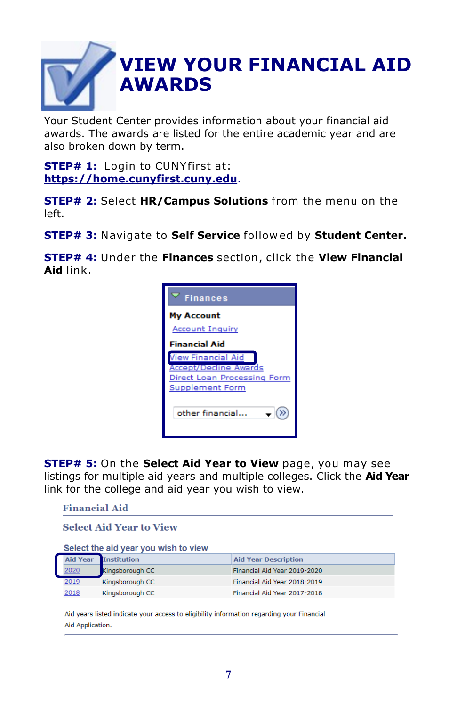# **VIEW YOUR FINANCIAL AID AWARDS**

Your Student Center provides information about your financial aid awards. The awards are listed for the entire academic year and are also broken down by term.

**STEP# 1:** Login to CUNY first at: **<https://home.cunyfirst.cuny.edu>**.

**STEP# 2:** Select **HR/Campus Solutions** from the menu on the left.

**STEP# 3:** Navigate to **Self Service** follow ed by **Student Center.**

**STEP# 4:** Under the **Finances** section, click the **View Financial Aid** link.



**STEP# 5:** On the **Select Aid Year to View** page, you may see listings for multiple aid years and multiple colleges. Click the **Aid Year** link for the college and aid year you wish to view.



Aid years listed indicate your access to eligibility information regarding your Financial Aid Application.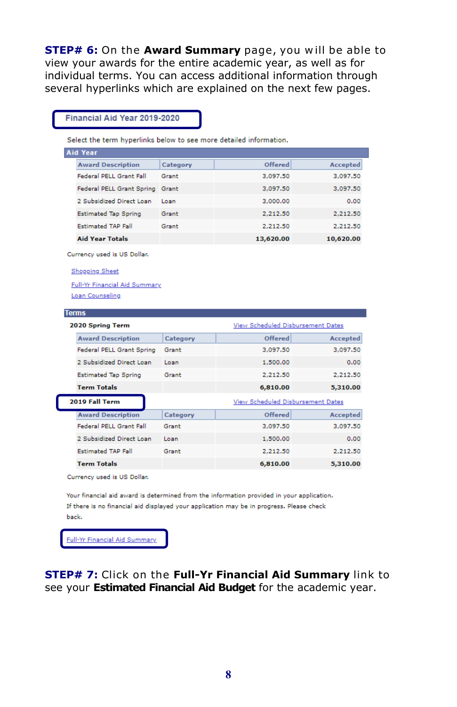**STEP# 6:** On the **Award Summary** page, you will be able to view your awards for the entire academic year, as well as for individual terms. You can access additional information through several hyperlinks which are explained on the next few pages.

#### Financial Aid Year 2019-2020

Select the term hyperlinks below to see more detailed information.

| <b>Aid Year</b>             |          |           |           |  |
|-----------------------------|----------|-----------|-----------|--|
| <b>Award Description</b>    | Category | Offered   | Accepted  |  |
| Federal PELL Grant Fall     | Grant    | 3.097.50  | 3,097.50  |  |
| Federal PELL Grant Spring   | Grant    | 3,097.50  | 3,097.50  |  |
| 2 Subsidized Direct Loan    | Loan     | 3,000,00  | 0.00      |  |
| <b>Estimated Tap Spring</b> | Grant    | 2.212.50  | 2,212.50  |  |
| <b>Estimated TAP Fall</b>   | Grant    | 2,212.50  | 2,212.50  |  |
| <b>Aid Year Totals</b>      |          | 13,620,00 | 10.620.00 |  |

Currency used is US Dollar.

**Shopping Sheet** 

**Full-Yr Financial Aid Summary** Loan Counseling

#### **Terms**

| 2020 Spring Term            |                                   |          | View Scheduled Disbursement Dates |  |  |
|-----------------------------|-----------------------------------|----------|-----------------------------------|--|--|
| <b>Award Description</b>    | Category                          | Offered  | Accepted                          |  |  |
| Federal PELL Grant Spring   | Grant                             | 3,097.50 | 3.097.50                          |  |  |
| 2 Subsidized Direct Loan    | Loan                              | 1,500,00 | 0.00                              |  |  |
| <b>Estimated Tap Spring</b> | Grant                             | 2,212.50 | 2,212.50                          |  |  |
| <b>Term Totals</b>          |                                   | 6,810.00 | 5,310.00                          |  |  |
|                             | View Scheduled Disbursement Dates |          |                                   |  |  |
| 2019 Fall Term              |                                   |          |                                   |  |  |
| <b>Award Description</b>    | Category                          | Offered  | Accepted                          |  |  |
| Federal PELL Grant Fall     | Grant                             | 3,097.50 | 3,097.50                          |  |  |
| 2 Subsidized Direct Loan    | Loan                              | 1,500.00 | 0.00                              |  |  |
| <b>Estimated TAP Fall</b>   | Grant                             | 2.212.50 | 2.212.50                          |  |  |

Currency used is US Dollar.

Your financial aid award is determined from the information provided in your application. If there is no financial aid displayed your application may be in progress. Please check back.

Full-Yr Financial Aid Summary

**STEP# 7:** Click on the **Full-Yr Financial Aid Summary** link to see your **Estimated Financial Aid Budget** for the academic year.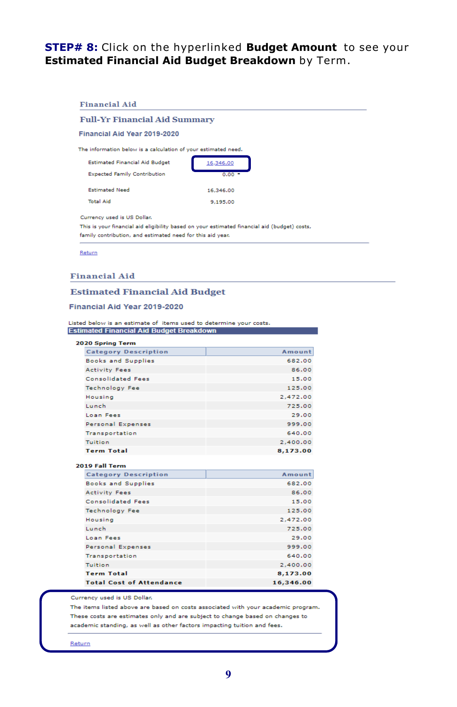### STEP# 8: Click on the hyperlinked Budget Amount to see your Estimated Financial Aid Budget Breakdown by Term.

#### **Financial Aid Full-Yr Financial Aid Summary** Financial Aid Year 2019-2020 The information below is a calculation of your estimated need. **Estimated Financial Aid Budget** 16,346.00 **Expected Family Contribution**  $0.00$ **Estimated Need** 16,346.00 **Total Aid** 9,195.00 Currency used is US Dollar. This is your financial aid eligibility based on your estimated financial aid (budget) costs, family contribution, and estimated need for this aid year.

Return

#### **Financial Aid**

#### **Estimated Financial Aid Budget**

#### Financial Aid Year 2019-2020

Listed below is an estimate of items used to determine your costs. **Estimated Financial Aid Budget Breakdown** 

| 2020 Spring Term                |           |
|---------------------------------|-----------|
| <b>Category Description</b>     | Amount    |
| <b>Books and Supplies</b>       | 682.00    |
| <b>Activity Fees</b>            | 86.00     |
| <b>Consolidated Fees</b>        | 15.00     |
| <b>Technology Fee</b>           | 125.00    |
| <b>Housing</b>                  | 2.472.00  |
| Lunch                           | 725.00    |
| Loan Fees                       | 29.00     |
| Personal Expenses               | 999.00    |
| Transportation                  | 640.00    |
| <b>Tuition</b>                  | 2,400.00  |
| <b>Term Total</b>               | 8,173.00  |
| 2019 Fall Term                  |           |
| <b>Category Description</b>     | Amount    |
| <b>Books and Supplies</b>       | 682.00    |
| <b>Activity Fees</b>            | 86.00     |
| <b>Consolidated Fees</b>        | 15.00     |
| <b>Technology Fee</b>           | 125.00    |
| Housing                         | 2.472.00  |
| Lunch                           | 725.00    |
| Loan Fees                       | 29.00     |
| Personal Expenses               | 999.00    |
| Transportation                  | 640.00    |
| Tuition                         | 2,400.00  |
| <b>Term Total</b>               | 8,173.00  |
| <b>Total Cost of Attendance</b> | 16,346.00 |

Currency used is US Dollar.

The items listed above are based on costs associated with your academic program. These costs are estimates only and are subject to change based on changes to academic standing, as well as other factors impacting tuition and fees.

Return